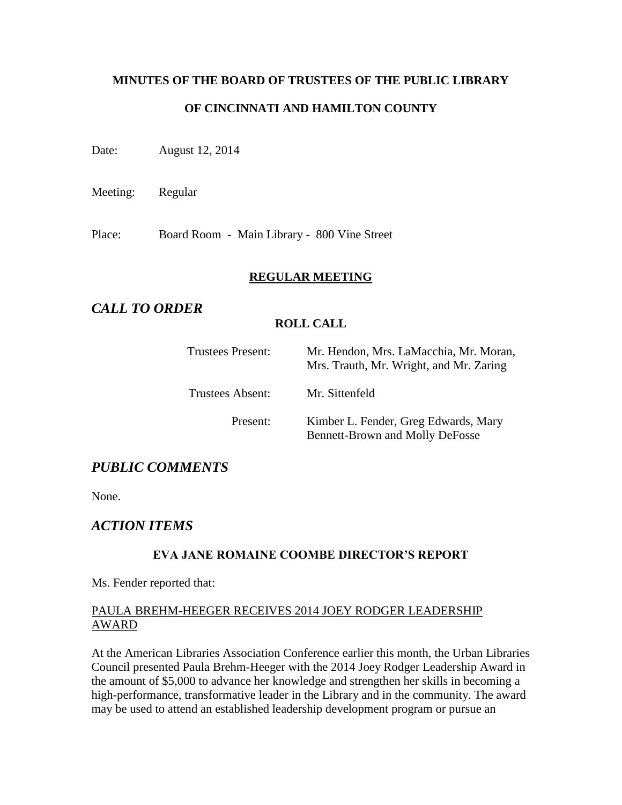# **MINUTES OF THE BOARD OF TRUSTEES OF THE PUBLIC LIBRARY OF CINCINNATI AND HAMILTON COUNTY**

Date: August 12, 2014

Meeting: Regular

Place: Board Room - Main Library - 800 Vine Street

### **REGULAR MEETING**

# *CALL TO ORDER*

### **ROLL CALL**

| <b>Trustees Present:</b> | Mr. Hendon, Mrs. LaMacchia, Mr. Moran,<br>Mrs. Trauth, Mr. Wright, and Mr. Zaring |
|--------------------------|-----------------------------------------------------------------------------------|
| Trustees Absent:         | Mr. Sittenfeld                                                                    |
| Present:                 | Kimber L. Fender, Greg Edwards, Mary<br><b>Bennett-Brown and Molly DeFosse</b>    |

# *PUBLIC COMMENTS*

None.

# *ACTION ITEMS*

# **EVA JANE ROMAINE COOMBE DIRECTOR'S REPORT**

Ms. Fender reported that:

### PAULA BREHM-HEEGER RECEIVES 2014 JOEY RODGER LEADERSHIP AWARD

At the American Libraries Association Conference earlier this month, the Urban Libraries Council presented Paula Brehm-Heeger with the 2014 Joey Rodger Leadership Award in the amount of \$5,000 to advance her knowledge and strengthen her skills in becoming a high-performance, transformative leader in the Library and in the community. The award may be used to attend an established leadership development program or pursue an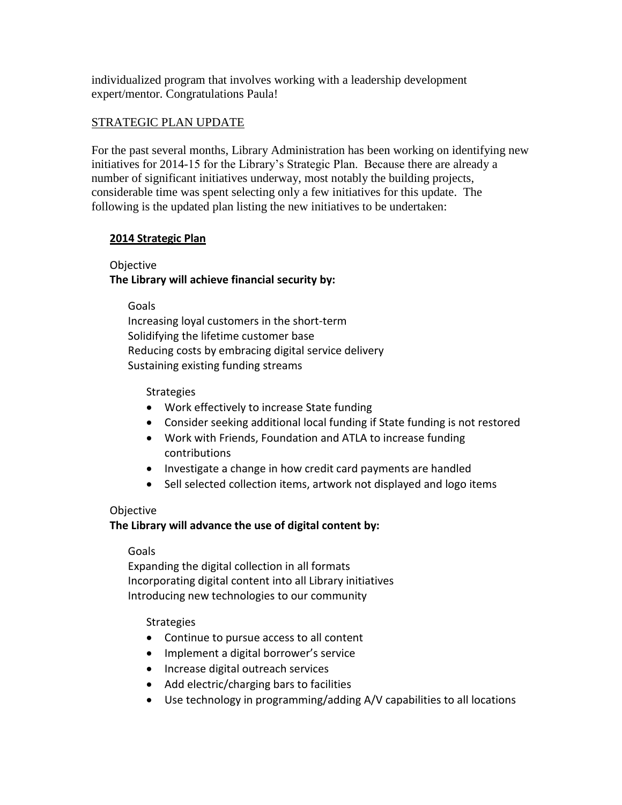individualized program that involves working with a leadership development expert/mentor. Congratulations Paula!

# STRATEGIC PLAN UPDATE

For the past several months, Library Administration has been working on identifying new initiatives for 2014-15 for the Library's Strategic Plan. Because there are already a number of significant initiatives underway, most notably the building projects, considerable time was spent selecting only a few initiatives for this update. The following is the updated plan listing the new initiatives to be undertaken:

### **2014 Strategic Plan**

# **Objective The Library will achieve financial security by:**

Goals

Increasing loyal customers in the short-term Solidifying the lifetime customer base Reducing costs by embracing digital service delivery Sustaining existing funding streams

### **Strategies**

- Work effectively to increase State funding
- Consider seeking additional local funding if State funding is not restored
- Work with Friends, Foundation and ATLA to increase funding contributions
- Investigate a change in how credit card payments are handled
- Sell selected collection items, artwork not displayed and logo items

# **Objective**

# **The Library will advance the use of digital content by:**

#### Goals

Expanding the digital collection in all formats Incorporating digital content into all Library initiatives Introducing new technologies to our community

#### **Strategies**

- Continue to pursue access to all content
- Implement a digital borrower's service
- Increase digital outreach services
- Add electric/charging bars to facilities
- Use technology in programming/adding A/V capabilities to all locations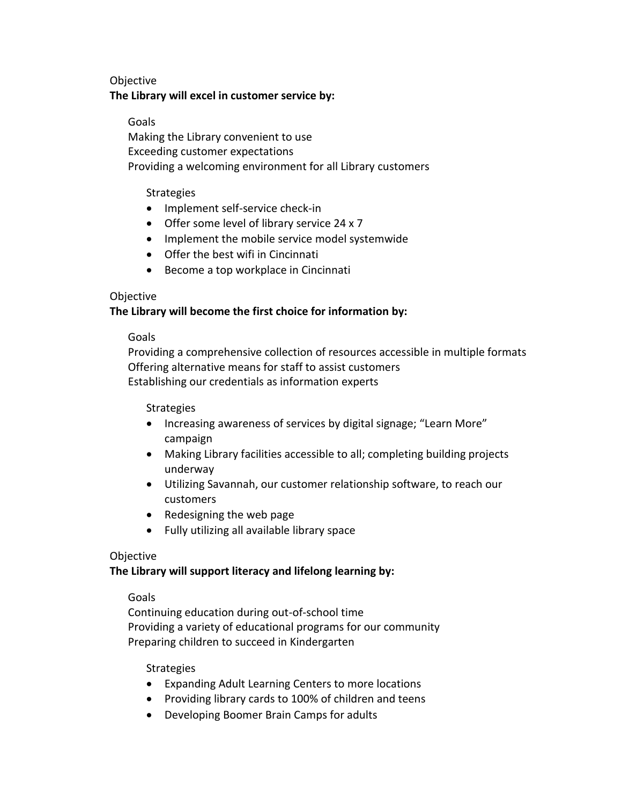### Objective

### **The Library will excel in customer service by:**

### Goals

Making the Library convenient to use Exceeding customer expectations Providing a welcoming environment for all Library customers

#### **Strategies**

- Implement self-service check-in
- Offer some level of library service 24 x 7
- Implement the mobile service model systemwide
- Offer the best wifi in Cincinnati
- Become a top workplace in Cincinnati

### Objective

# **The Library will become the first choice for information by:**

#### Goals

Providing a comprehensive collection of resources accessible in multiple formats Offering alternative means for staff to assist customers Establishing our credentials as information experts

#### Strategies

- Increasing awareness of services by digital signage; "Learn More" campaign
- Making Library facilities accessible to all; completing building projects underway
- Utilizing Savannah, our customer relationship software, to reach our customers
- Redesigning the web page
- Fully utilizing all available library space

#### Objective

# **The Library will support literacy and lifelong learning by:**

#### Goals

Continuing education during out-of-school time Providing a variety of educational programs for our community Preparing children to succeed in Kindergarten

#### Strategies

- Expanding Adult Learning Centers to more locations
- Providing library cards to 100% of children and teens
- Developing Boomer Brain Camps for adults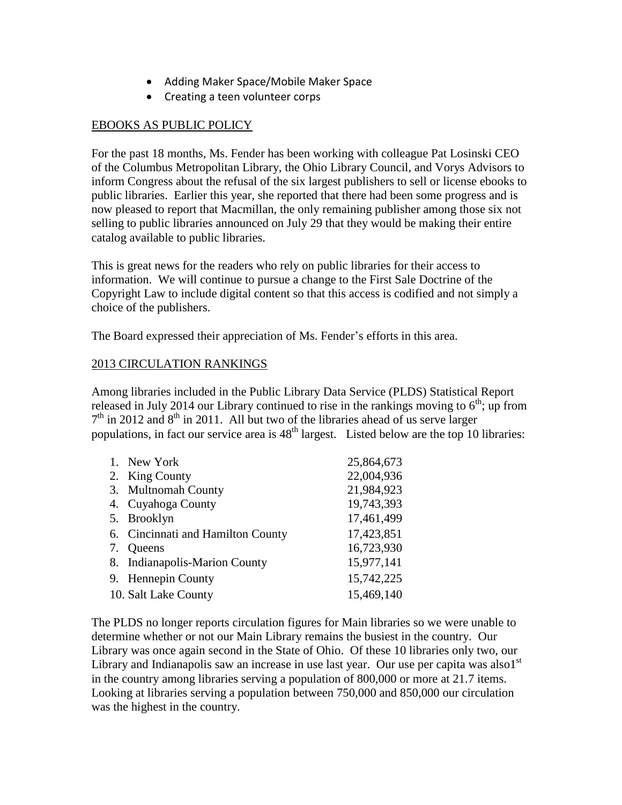- Adding Maker Space/Mobile Maker Space
- Creating a teen volunteer corps

# EBOOKS AS PUBLIC POLICY

For the past 18 months, Ms. Fender has been working with colleague Pat Losinski CEO of the Columbus Metropolitan Library, the Ohio Library Council, and Vorys Advisors to inform Congress about the refusal of the six largest publishers to sell or license ebooks to public libraries. Earlier this year, she reported that there had been some progress and is now pleased to report that Macmillan, the only remaining publisher among those six not selling to public libraries announced on July 29 that they would be making their entire catalog available to public libraries.

This is great news for the readers who rely on public libraries for their access to information. We will continue to pursue a change to the First Sale Doctrine of the Copyright Law to include digital content so that this access is codified and not simply a choice of the publishers.

The Board expressed their appreciation of Ms. Fender's efforts in this area.

# 2013 CIRCULATION RANKINGS

Among libraries included in the Public Library Data Service (PLDS) Statistical Report released in July 2014 our Library continued to rise in the rankings moving to  $6<sup>th</sup>$ ; up from  $7<sup>th</sup>$  in 2012 and  $8<sup>th</sup>$  in 2011. All but two of the libraries ahead of us serve larger populations, in fact our service area is  $48<sup>th</sup>$  largest. Listed below are the top 10 libraries:

| 1. | New York                          | 25,864,673 |
|----|-----------------------------------|------------|
|    | 2. King County                    | 22,004,936 |
| 3. | <b>Multnomah County</b>           | 21,984,923 |
| 4. | Cuyahoga County                   | 19,743,393 |
|    | 5. Brooklyn                       | 17,461,499 |
|    | 6. Cincinnati and Hamilton County | 17,423,851 |
| 7. | Queens                            | 16,723,930 |
|    | 8. Indianapolis-Marion County     | 15,977,141 |
|    | 9. Hennepin County                | 15,742,225 |
|    | 10. Salt Lake County              | 15,469,140 |

The PLDS no longer reports circulation figures for Main libraries so we were unable to determine whether or not our Main Library remains the busiest in the country. Our Library was once again second in the State of Ohio. Of these 10 libraries only two, our Library and Indianapolis saw an increase in use last year. Our use per capita was also  $1<sup>st</sup>$ in the country among libraries serving a population of 800,000 or more at 21.7 items. Looking at libraries serving a population between 750,000 and 850,000 our circulation was the highest in the country.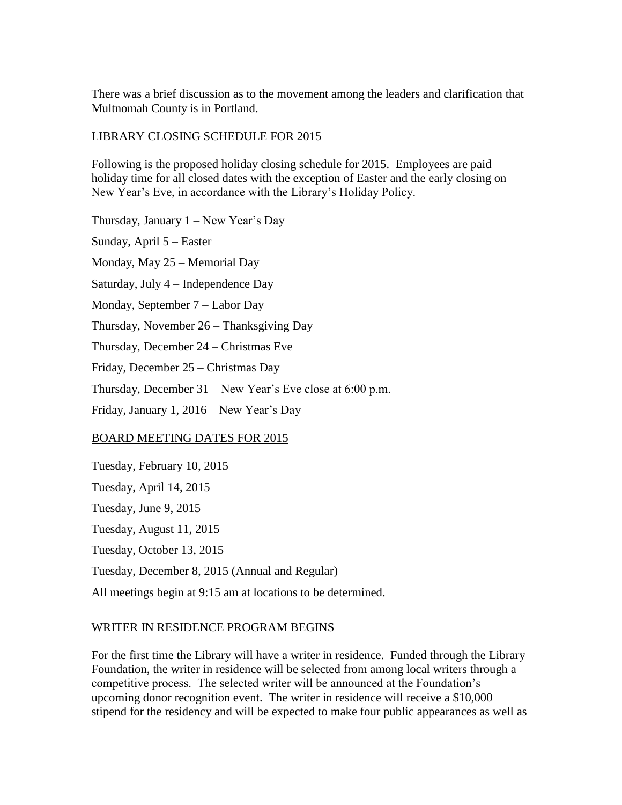There was a brief discussion as to the movement among the leaders and clarification that Multnomah County is in Portland.

#### LIBRARY CLOSING SCHEDULE FOR 2015

Following is the proposed holiday closing schedule for 2015. Employees are paid holiday time for all closed dates with the exception of Easter and the early closing on New Year's Eve, in accordance with the Library's Holiday Policy.

Thursday, January 1 – New Year's Day

Sunday, April 5 – Easter Monday, May 25 – Memorial Day Saturday, July 4 – Independence Day Monday, September 7 – Labor Day Thursday, November 26 – Thanksgiving Day Thursday, December 24 – Christmas Eve Friday, December 25 – Christmas Day Thursday, December 31 – New Year's Eve close at 6:00 p.m. Friday, January 1, 2016 – New Year's Day

#### BOARD MEETING DATES FOR 2015

Tuesday, February 10, 2015 Tuesday, April 14, 2015 Tuesday, June 9, 2015 Tuesday, August 11, 2015 Tuesday, October 13, 2015 Tuesday, December 8, 2015 (Annual and Regular) All meetings begin at 9:15 am at locations to be determined.

# WRITER IN RESIDENCE PROGRAM BEGINS

For the first time the Library will have a writer in residence. Funded through the Library Foundation, the writer in residence will be selected from among local writers through a competitive process. The selected writer will be announced at the Foundation's upcoming donor recognition event. The writer in residence will receive a \$10,000 stipend for the residency and will be expected to make four public appearances as well as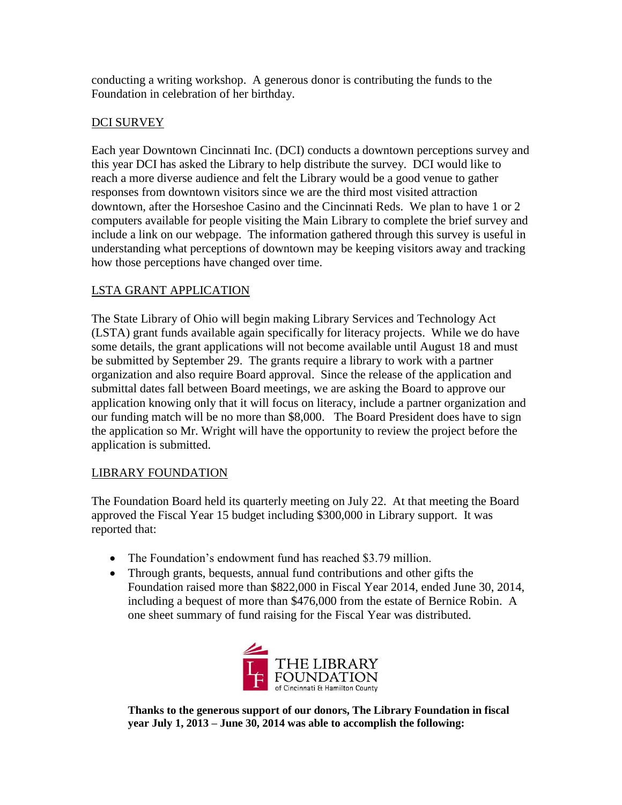conducting a writing workshop. A generous donor is contributing the funds to the Foundation in celebration of her birthday.

# DCI SURVEY

Each year Downtown Cincinnati Inc. (DCI) conducts a downtown perceptions survey and this year DCI has asked the Library to help distribute the survey. DCI would like to reach a more diverse audience and felt the Library would be a good venue to gather responses from downtown visitors since we are the third most visited attraction downtown, after the Horseshoe Casino and the Cincinnati Reds. We plan to have 1 or 2 computers available for people visiting the Main Library to complete the brief survey and include a link on our webpage. The information gathered through this survey is useful in understanding what perceptions of downtown may be keeping visitors away and tracking how those perceptions have changed over time.

# LSTA GRANT APPLICATION

The State Library of Ohio will begin making Library Services and Technology Act (LSTA) grant funds available again specifically for literacy projects. While we do have some details, the grant applications will not become available until August 18 and must be submitted by September 29. The grants require a library to work with a partner organization and also require Board approval. Since the release of the application and submittal dates fall between Board meetings, we are asking the Board to approve our application knowing only that it will focus on literacy, include a partner organization and our funding match will be no more than \$8,000. The Board President does have to sign the application so Mr. Wright will have the opportunity to review the project before the application is submitted.

# LIBRARY FOUNDATION

The Foundation Board held its quarterly meeting on July 22. At that meeting the Board approved the Fiscal Year 15 budget including \$300,000 in Library support. It was reported that:

- The Foundation's endowment fund has reached \$3.79 million.
- Through grants, bequests, annual fund contributions and other gifts the Foundation raised more than \$822,000 in Fiscal Year 2014, ended June 30, 2014, including a bequest of more than \$476,000 from the estate of Bernice Robin. A one sheet summary of fund raising for the Fiscal Year was distributed.



**Thanks to the generous support of our donors, The Library Foundation in fiscal year July 1, 2013 – June 30, 2014 was able to accomplish the following:**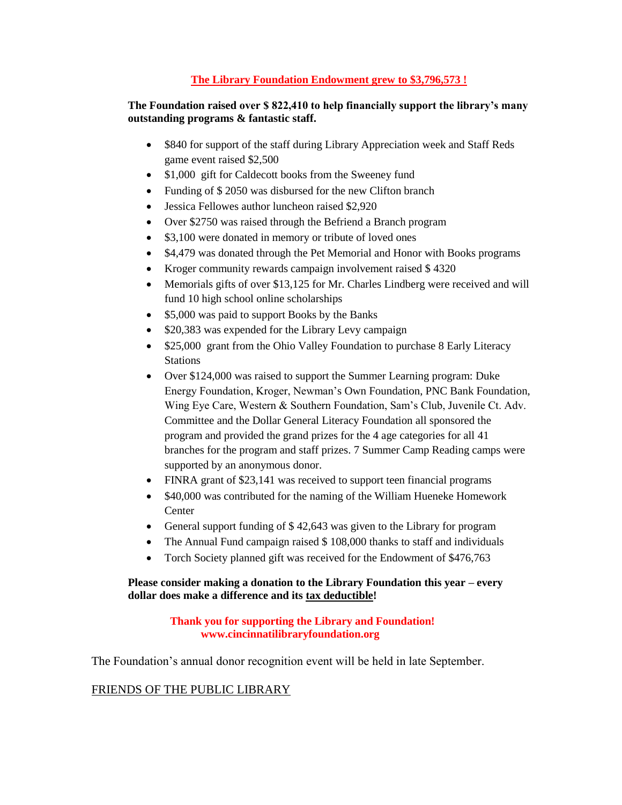#### **The Library Foundation Endowment grew to \$3,796,573 !**

#### **The Foundation raised over \$ 822,410 to help financially support the library's many outstanding programs & fantastic staff.**

- \$840 for support of the staff during Library Appreciation week and Staff Reds game event raised \$2,500
- \$1,000 gift for Caldecott books from the Sweeney fund
- Funding of \$2050 was disbursed for the new Clifton branch
- Jessica Fellowes author luncheon raised \$2,920
- Over \$2750 was raised through the Befriend a Branch program
- \$3,100 were donated in memory or tribute of loved ones
- \$4,479 was donated through the Pet Memorial and Honor with Books programs
- Kroger community rewards campaign involvement raised \$4320
- Memorials gifts of over \$13,125 for Mr. Charles Lindberg were received and will fund 10 high school online scholarships
- \$5,000 was paid to support Books by the Banks
- \$20,383 was expended for the Library Levy campaign
- \$25,000 grant from the Ohio Valley Foundation to purchase 8 Early Literacy Stations
- Over \$124,000 was raised to support the Summer Learning program: Duke Energy Foundation, Kroger, Newman's Own Foundation, PNC Bank Foundation, Wing Eye Care, Western & Southern Foundation, Sam's Club, Juvenile Ct. Adv. Committee and the Dollar General Literacy Foundation all sponsored the program and provided the grand prizes for the 4 age categories for all 41 branches for the program and staff prizes. 7 Summer Camp Reading camps were supported by an anonymous donor.
- FINRA grant of \$23,141 was received to support teen financial programs
- \$40,000 was contributed for the naming of the William Hueneke Homework **Center**
- General support funding of \$ 42,643 was given to the Library for program
- The Annual Fund campaign raised \$108,000 thanks to staff and individuals
- Torch Society planned gift was received for the Endowment of \$476,763

#### **Please consider making a donation to the Library Foundation this year – every dollar does make a difference and its tax deductible!**

#### **Thank you for supporting the Library and Foundation! www.cincinnatilibraryfoundation.org**

The Foundation's annual donor recognition event will be held in late September.

#### FRIENDS OF THE PUBLIC LIBRARY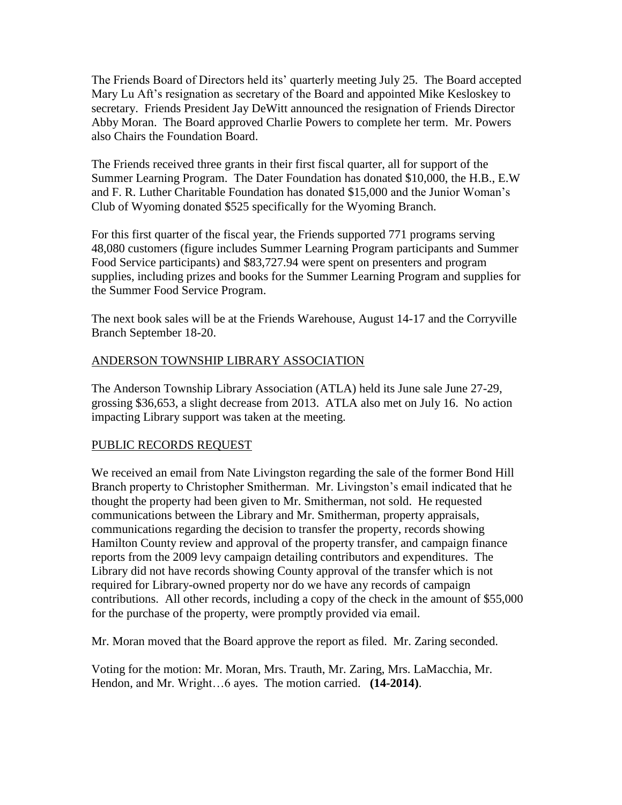The Friends Board of Directors held its' quarterly meeting July 25. The Board accepted Mary Lu Aft's resignation as secretary of the Board and appointed Mike Kesloskey to secretary. Friends President Jay DeWitt announced the resignation of Friends Director Abby Moran. The Board approved Charlie Powers to complete her term. Mr. Powers also Chairs the Foundation Board.

The Friends received three grants in their first fiscal quarter, all for support of the Summer Learning Program. The Dater Foundation has donated \$10,000, the H.B., E.W and F. R. Luther Charitable Foundation has donated \$15,000 and the Junior Woman's Club of Wyoming donated \$525 specifically for the Wyoming Branch.

For this first quarter of the fiscal year, the Friends supported 771 programs serving 48,080 customers (figure includes Summer Learning Program participants and Summer Food Service participants) and \$83,727.94 were spent on presenters and program supplies, including prizes and books for the Summer Learning Program and supplies for the Summer Food Service Program.

The next book sales will be at the Friends Warehouse, August 14-17 and the Corryville Branch September 18-20.

# ANDERSON TOWNSHIP LIBRARY ASSOCIATION

The Anderson Township Library Association (ATLA) held its June sale June 27-29, grossing \$36,653, a slight decrease from 2013. ATLA also met on July 16. No action impacting Library support was taken at the meeting.

# PUBLIC RECORDS REQUEST

We received an email from Nate Livingston regarding the sale of the former Bond Hill Branch property to Christopher Smitherman. Mr. Livingston's email indicated that he thought the property had been given to Mr. Smitherman, not sold. He requested communications between the Library and Mr. Smitherman, property appraisals, communications regarding the decision to transfer the property, records showing Hamilton County review and approval of the property transfer, and campaign finance reports from the 2009 levy campaign detailing contributors and expenditures. The Library did not have records showing County approval of the transfer which is not required for Library-owned property nor do we have any records of campaign contributions. All other records, including a copy of the check in the amount of \$55,000 for the purchase of the property, were promptly provided via email.

Mr. Moran moved that the Board approve the report as filed. Mr. Zaring seconded.

Voting for the motion: Mr. Moran, Mrs. Trauth, Mr. Zaring, Mrs. LaMacchia, Mr. Hendon, and Mr. Wright…6 ayes. The motion carried. **(14-2014)**.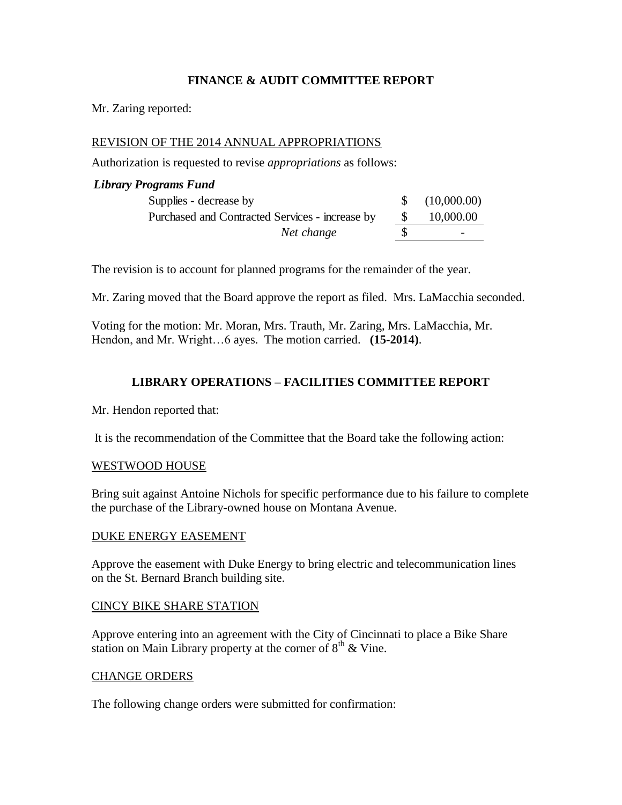### **FINANCE & AUDIT COMMITTEE REPORT**

Mr. Zaring reported:

### REVISION OF THE 2014 ANNUAL APPROPRIATIONS

Authorization is requested to revise *appropriations* as follows:

# *Library Programs Fund* Supplies - decrease by  $$ (10,000.00)$ Purchased and Contracted Services - increase by \$ 10,000.00 *Net change* \$

The revision is to account for planned programs for the remainder of the year.

Mr. Zaring moved that the Board approve the report as filed. Mrs. LaMacchia seconded.

Voting for the motion: Mr. Moran, Mrs. Trauth, Mr. Zaring, Mrs. LaMacchia, Mr. Hendon, and Mr. Wright…6 ayes. The motion carried. **(15-2014)**.

#### **LIBRARY OPERATIONS – FACILITIES COMMITTEE REPORT**

Mr. Hendon reported that:

It is the recommendation of the Committee that the Board take the following action:

#### WESTWOOD HOUSE

Bring suit against Antoine Nichols for specific performance due to his failure to complete the purchase of the Library-owned house on Montana Avenue.

#### DUKE ENERGY EASEMENT

Approve the easement with Duke Energy to bring electric and telecommunication lines on the St. Bernard Branch building site.

#### CINCY BIKE SHARE STATION

Approve entering into an agreement with the City of Cincinnati to place a Bike Share station on Main Library property at the corner of  $8<sup>th</sup>$  & Vine.

#### CHANGE ORDERS

The following change orders were submitted for confirmation: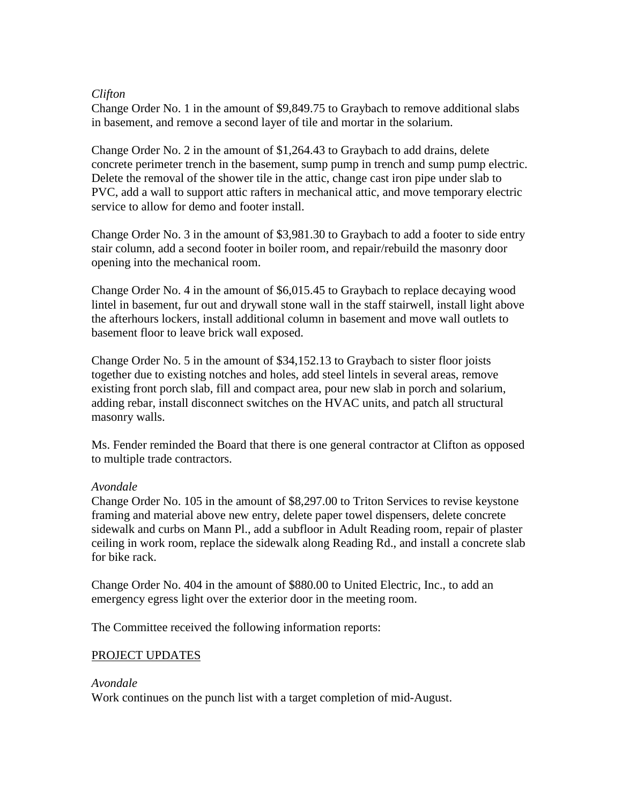#### *Clifton*

Change Order No. 1 in the amount of \$9,849.75 to Graybach to remove additional slabs in basement, and remove a second layer of tile and mortar in the solarium.

Change Order No. 2 in the amount of \$1,264.43 to Graybach to add drains, delete concrete perimeter trench in the basement, sump pump in trench and sump pump electric. Delete the removal of the shower tile in the attic, change cast iron pipe under slab to PVC, add a wall to support attic rafters in mechanical attic, and move temporary electric service to allow for demo and footer install.

Change Order No. 3 in the amount of \$3,981.30 to Graybach to add a footer to side entry stair column, add a second footer in boiler room, and repair/rebuild the masonry door opening into the mechanical room.

Change Order No. 4 in the amount of \$6,015.45 to Graybach to replace decaying wood lintel in basement, fur out and drywall stone wall in the staff stairwell, install light above the afterhours lockers, install additional column in basement and move wall outlets to basement floor to leave brick wall exposed.

Change Order No. 5 in the amount of \$34,152.13 to Graybach to sister floor joists together due to existing notches and holes, add steel lintels in several areas, remove existing front porch slab, fill and compact area, pour new slab in porch and solarium, adding rebar, install disconnect switches on the HVAC units, and patch all structural masonry walls.

Ms. Fender reminded the Board that there is one general contractor at Clifton as opposed to multiple trade contractors.

#### *Avondale*

Change Order No. 105 in the amount of \$8,297.00 to Triton Services to revise keystone framing and material above new entry, delete paper towel dispensers, delete concrete sidewalk and curbs on Mann Pl., add a subfloor in Adult Reading room, repair of plaster ceiling in work room, replace the sidewalk along Reading Rd., and install a concrete slab for bike rack.

Change Order No. 404 in the amount of \$880.00 to United Electric, Inc., to add an emergency egress light over the exterior door in the meeting room.

The Committee received the following information reports:

#### PROJECT UPDATES

#### *Avondale*

Work continues on the punch list with a target completion of mid-August.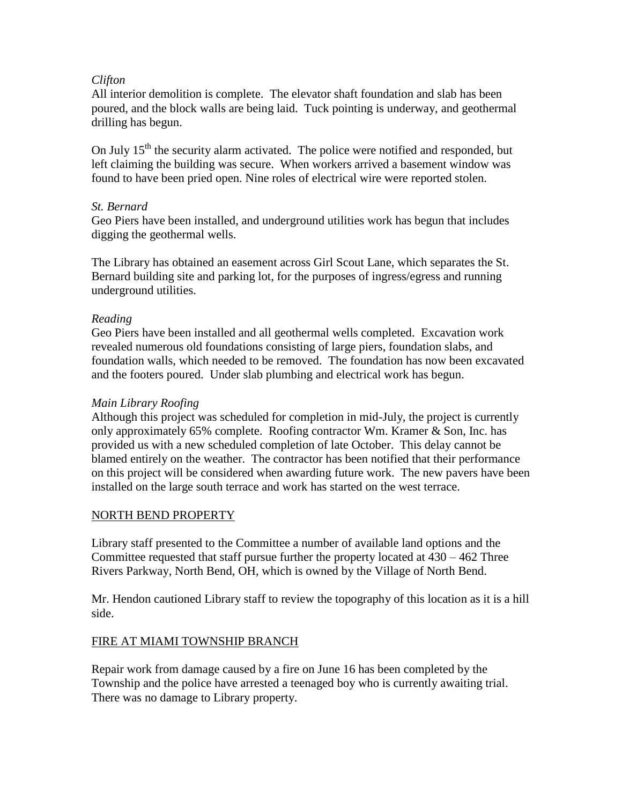### *Clifton*

All interior demolition is complete. The elevator shaft foundation and slab has been poured, and the block walls are being laid. Tuck pointing is underway, and geothermal drilling has begun.

On July 15<sup>th</sup> the security alarm activated. The police were notified and responded, but left claiming the building was secure. When workers arrived a basement window was found to have been pried open. Nine roles of electrical wire were reported stolen.

### *St. Bernard*

Geo Piers have been installed, and underground utilities work has begun that includes digging the geothermal wells.

The Library has obtained an easement across Girl Scout Lane, which separates the St. Bernard building site and parking lot, for the purposes of ingress/egress and running underground utilities.

# *Reading*

Geo Piers have been installed and all geothermal wells completed. Excavation work revealed numerous old foundations consisting of large piers, foundation slabs, and foundation walls, which needed to be removed. The foundation has now been excavated and the footers poured. Under slab plumbing and electrical work has begun.

### *Main Library Roofing*

Although this project was scheduled for completion in mid-July, the project is currently only approximately 65% complete. Roofing contractor Wm. Kramer & Son, Inc. has provided us with a new scheduled completion of late October. This delay cannot be blamed entirely on the weather. The contractor has been notified that their performance on this project will be considered when awarding future work. The new pavers have been installed on the large south terrace and work has started on the west terrace.

#### NORTH BEND PROPERTY

Library staff presented to the Committee a number of available land options and the Committee requested that staff pursue further the property located at  $430 - 462$  Three Rivers Parkway, North Bend, OH, which is owned by the Village of North Bend.

Mr. Hendon cautioned Library staff to review the topography of this location as it is a hill side.

#### FIRE AT MIAMI TOWNSHIP BRANCH

Repair work from damage caused by a fire on June 16 has been completed by the Township and the police have arrested a teenaged boy who is currently awaiting trial. There was no damage to Library property.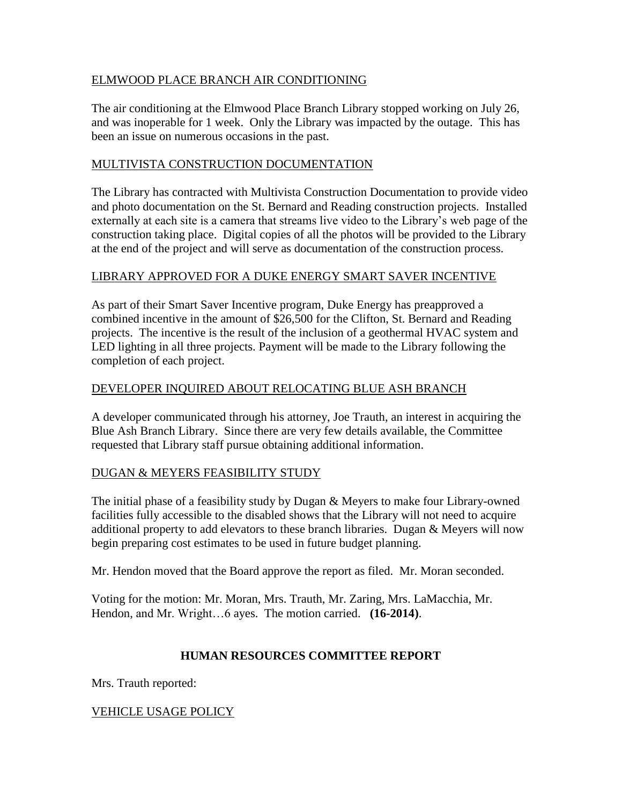# ELMWOOD PLACE BRANCH AIR CONDITIONING

The air conditioning at the Elmwood Place Branch Library stopped working on July 26, and was inoperable for 1 week. Only the Library was impacted by the outage. This has been an issue on numerous occasions in the past.

# MULTIVISTA CONSTRUCTION DOCUMENTATION

The Library has contracted with Multivista Construction Documentation to provide video and photo documentation on the St. Bernard and Reading construction projects. Installed externally at each site is a camera that streams live video to the Library's web page of the construction taking place. Digital copies of all the photos will be provided to the Library at the end of the project and will serve as documentation of the construction process.

# LIBRARY APPROVED FOR A DUKE ENERGY SMART SAVER INCENTIVE

As part of their Smart Saver Incentive program, Duke Energy has preapproved a combined incentive in the amount of \$26,500 for the Clifton, St. Bernard and Reading projects. The incentive is the result of the inclusion of a geothermal HVAC system and LED lighting in all three projects. Payment will be made to the Library following the completion of each project.

# DEVELOPER INQUIRED ABOUT RELOCATING BLUE ASH BRANCH

A developer communicated through his attorney, Joe Trauth, an interest in acquiring the Blue Ash Branch Library. Since there are very few details available, the Committee requested that Library staff pursue obtaining additional information.

# DUGAN & MEYERS FEASIBILITY STUDY

The initial phase of a feasibility study by Dugan & Meyers to make four Library-owned facilities fully accessible to the disabled shows that the Library will not need to acquire additional property to add elevators to these branch libraries. Dugan & Meyers will now begin preparing cost estimates to be used in future budget planning.

Mr. Hendon moved that the Board approve the report as filed. Mr. Moran seconded.

Voting for the motion: Mr. Moran, Mrs. Trauth, Mr. Zaring, Mrs. LaMacchia, Mr. Hendon, and Mr. Wright…6 ayes. The motion carried. **(16-2014)**.

# **HUMAN RESOURCES COMMITTEE REPORT**

Mrs. Trauth reported:

VEHICLE USAGE POLICY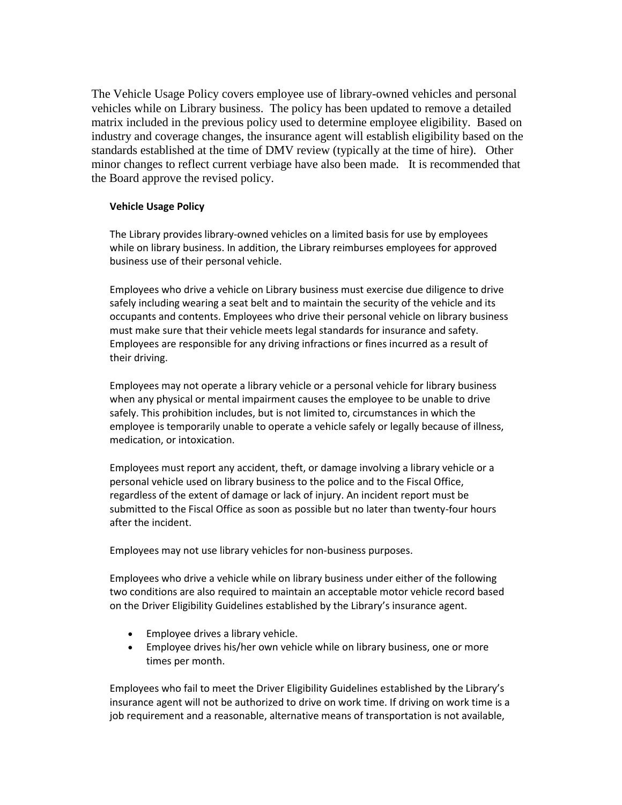The Vehicle Usage Policy covers employee use of library-owned vehicles and personal vehicles while on Library business. The policy has been updated to remove a detailed matrix included in the previous policy used to determine employee eligibility. Based on industry and coverage changes, the insurance agent will establish eligibility based on the standards established at the time of DMV review (typically at the time of hire). Other minor changes to reflect current verbiage have also been made. It is recommended that the Board approve the revised policy.

#### **Vehicle Usage Policy**

The Library provides library-owned vehicles on a limited basis for use by employees while on library business. In addition, the Library reimburses employees for approved business use of their personal vehicle.

Employees who drive a vehicle on Library business must exercise due diligence to drive safely including wearing a seat belt and to maintain the security of the vehicle and its occupants and contents. Employees who drive their personal vehicle on library business must make sure that their vehicle meets legal standards for insurance and safety. Employees are responsible for any driving infractions or fines incurred as a result of their driving.

Employees may not operate a library vehicle or a personal vehicle for library business when any physical or mental impairment causes the employee to be unable to drive safely. This prohibition includes, but is not limited to, circumstances in which the employee is temporarily unable to operate a vehicle safely or legally because of illness, medication, or intoxication.

Employees must report any accident, theft, or damage involving a library vehicle or a personal vehicle used on library business to the police and to the Fiscal Office, regardless of the extent of damage or lack of injury. An incident report must be submitted to the Fiscal Office as soon as possible but no later than twenty-four hours after the incident.

Employees may not use library vehicles for non-business purposes.

Employees who drive a vehicle while on library business under either of the following two conditions are also required to maintain an acceptable motor vehicle record based on the Driver Eligibility Guidelines established by the Library's insurance agent.

- Employee drives a library vehicle.
- Employee drives his/her own vehicle while on library business, one or more times per month.

Employees who fail to meet the Driver Eligibility Guidelines established by the Library's insurance agent will not be authorized to drive on work time. If driving on work time is a job requirement and a reasonable, alternative means of transportation is not available,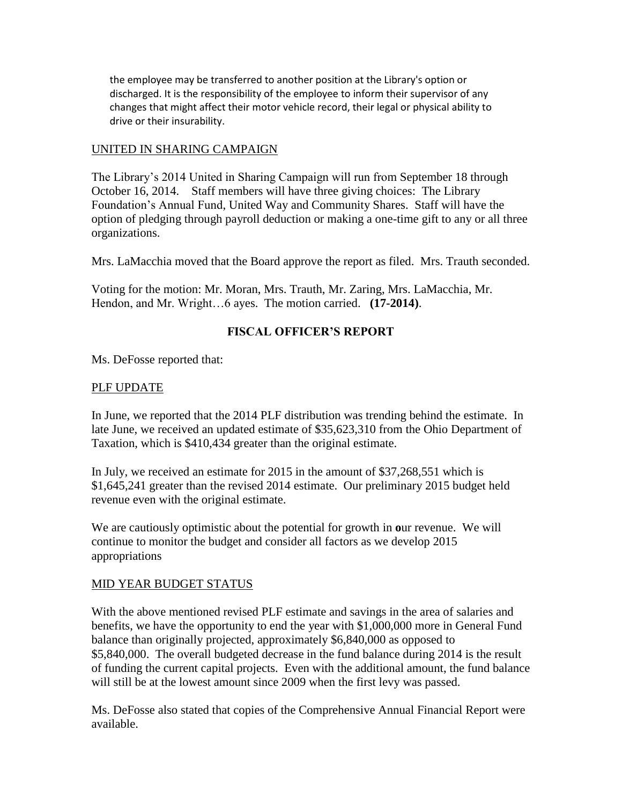the employee may be transferred to another position at the Library's option or discharged. It is the responsibility of the employee to inform their supervisor of any changes that might affect their motor vehicle record, their legal or physical ability to drive or their insurability.

### UNITED IN SHARING CAMPAIGN

The Library's 2014 United in Sharing Campaign will run from September 18 through October 16, 2014. Staff members will have three giving choices: The Library Foundation's Annual Fund, United Way and Community Shares. Staff will have the option of pledging through payroll deduction or making a one-time gift to any or all three organizations.

Mrs. LaMacchia moved that the Board approve the report as filed. Mrs. Trauth seconded.

Voting for the motion: Mr. Moran, Mrs. Trauth, Mr. Zaring, Mrs. LaMacchia, Mr. Hendon, and Mr. Wright…6 ayes. The motion carried. **(17-2014)**.

# **FISCAL OFFICER'S REPORT**

Ms. DeFosse reported that:

### PLF UPDATE

In June, we reported that the 2014 PLF distribution was trending behind the estimate. In late June, we received an updated estimate of \$35,623,310 from the Ohio Department of Taxation, which is \$410,434 greater than the original estimate.

In July, we received an estimate for 2015 in the amount of \$37,268,551 which is \$1,645,241 greater than the revised 2014 estimate. Our preliminary 2015 budget held revenue even with the original estimate.

We are cautiously optimistic about the potential for growth in **o**ur revenue. We will continue to monitor the budget and consider all factors as we develop 2015 appropriations

# MID YEAR BUDGET STATUS

With the above mentioned revised PLF estimate and savings in the area of salaries and benefits, we have the opportunity to end the year with \$1,000,000 more in General Fund balance than originally projected, approximately \$6,840,000 as opposed to \$5,840,000. The overall budgeted decrease in the fund balance during 2014 is the result of funding the current capital projects. Even with the additional amount, the fund balance will still be at the lowest amount since 2009 when the first levy was passed.

Ms. DeFosse also stated that copies of the Comprehensive Annual Financial Report were available.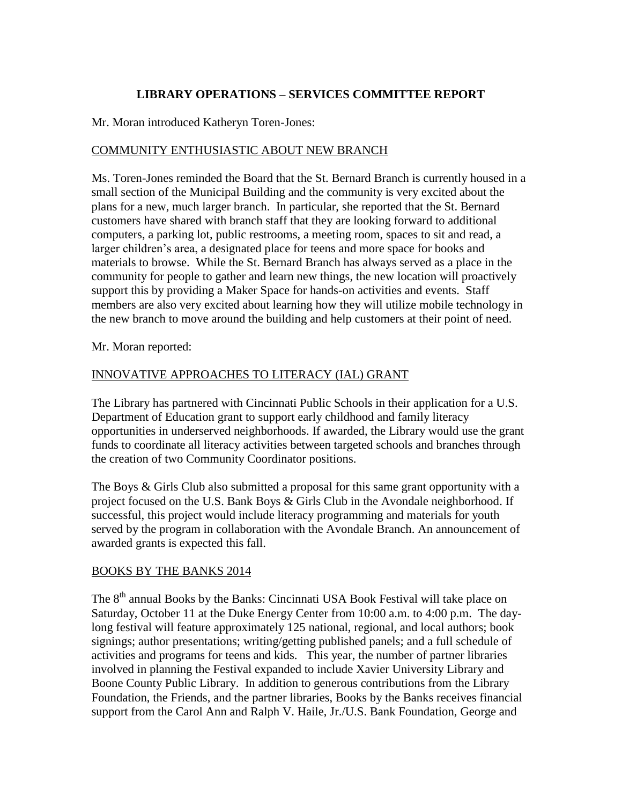# **LIBRARY OPERATIONS – SERVICES COMMITTEE REPORT**

Mr. Moran introduced Katheryn Toren-Jones:

# COMMUNITY ENTHUSIASTIC ABOUT NEW BRANCH

Ms. Toren-Jones reminded the Board that the St. Bernard Branch is currently housed in a small section of the Municipal Building and the community is very excited about the plans for a new, much larger branch. In particular, she reported that the St. Bernard customers have shared with branch staff that they are looking forward to additional computers, a parking lot, public restrooms, a meeting room, spaces to sit and read, a larger children's area, a designated place for teens and more space for books and materials to browse. While the St. Bernard Branch has always served as a place in the community for people to gather and learn new things, the new location will proactively support this by providing a Maker Space for hands-on activities and events. Staff members are also very excited about learning how they will utilize mobile technology in the new branch to move around the building and help customers at their point of need.

Mr. Moran reported:

# INNOVATIVE APPROACHES TO LITERACY (IAL) GRANT

The Library has partnered with Cincinnati Public Schools in their application for a U.S. Department of Education grant to support early childhood and family literacy opportunities in underserved neighborhoods. If awarded, the Library would use the grant funds to coordinate all literacy activities between targeted schools and branches through the creation of two Community Coordinator positions.

The Boys & Girls Club also submitted a proposal for this same grant opportunity with a project focused on the U.S. Bank Boys & Girls Club in the Avondale neighborhood. If successful, this project would include literacy programming and materials for youth served by the program in collaboration with the Avondale Branch. An announcement of awarded grants is expected this fall.

# BOOKS BY THE BANKS 2014

The 8<sup>th</sup> annual Books by the Banks: Cincinnati USA Book Festival will take place on Saturday, October 11 at the Duke Energy Center from 10:00 a.m. to 4:00 p.m. The daylong festival will feature approximately 125 national, regional, and local authors; book signings; author presentations; writing/getting published panels; and a full schedule of activities and programs for teens and kids. This year, the number of partner libraries involved in planning the Festival expanded to include Xavier University Library and Boone County Public Library. In addition to generous contributions from the Library Foundation, the Friends, and the partner libraries, Books by the Banks receives financial support from the Carol Ann and Ralph V. Haile, Jr./U.S. Bank Foundation, George and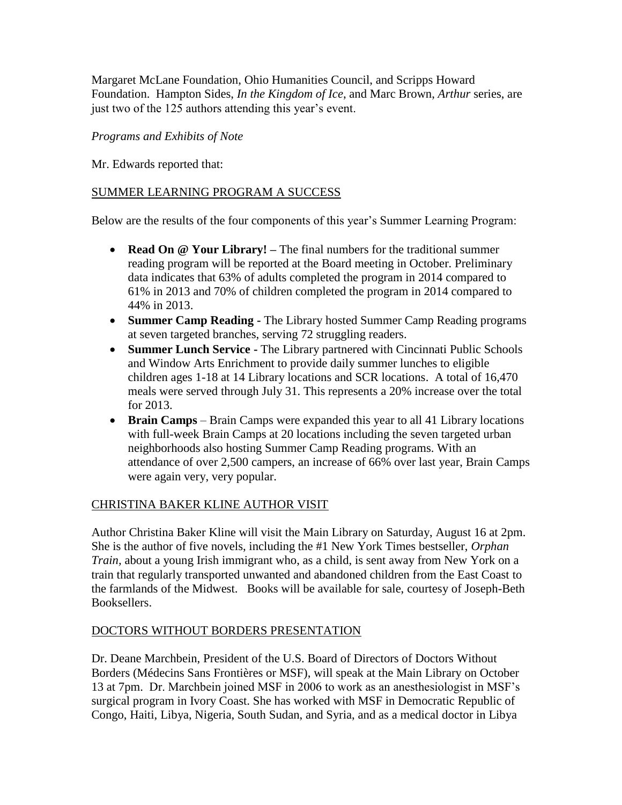Margaret McLane Foundation, Ohio Humanities Council, and Scripps Howard Foundation. Hampton Sides, *In the Kingdom of Ice*, and Marc Brown, *Arthur* series, are just two of the 125 authors attending this year's event.

# *Programs and Exhibits of Note*

Mr. Edwards reported that:

# SUMMER LEARNING PROGRAM A SUCCESS

Below are the results of the four components of this year's Summer Learning Program:

- **Read On @ Your Library! –** The final numbers for the traditional summer reading program will be reported at the Board meeting in October. Preliminary data indicates that 63% of adults completed the program in 2014 compared to 61% in 2013 and 70% of children completed the program in 2014 compared to 44% in 2013.
- **Summer Camp Reading -** The Library hosted Summer Camp Reading programs at seven targeted branches, serving 72 struggling readers.
- **Summer Lunch Service -** The Library partnered with Cincinnati Public Schools and Window Arts Enrichment to provide daily summer lunches to eligible children ages 1-18 at 14 Library locations and SCR locations. A total of 16,470 meals were served through July 31. This represents a 20% increase over the total for 2013.
- **Brain Camps** Brain Camps were expanded this year to all 41 Library locations with full-week Brain Camps at 20 locations including the seven targeted urban neighborhoods also hosting Summer Camp Reading programs. With an attendance of over 2,500 campers, an increase of 66% over last year, Brain Camps were again very, very popular.

# CHRISTINA BAKER KLINE AUTHOR VISIT

Author Christina Baker Kline will visit the Main Library on Saturday, August 16 at 2pm. She is the author of five novels, including the #1 New York Times bestseller, *Orphan Train,* about a young Irish immigrant who, as a child, is sent away from New York on a train that regularly transported unwanted and abandoned children from the East Coast to the farmlands of the Midwest. Books will be available for sale, courtesy of Joseph-Beth Booksellers.

# DOCTORS WITHOUT BORDERS PRESENTATION

Dr. Deane Marchbein, President of the U.S. Board of Directors of Doctors Without Borders (Médecins Sans Frontières or MSF), will speak at the Main Library on October 13 at 7pm. Dr. Marchbein joined MSF in 2006 to work as an anesthesiologist in MSF's surgical program in Ivory Coast. She has worked with MSF in Democratic Republic of Congo, Haiti, Libya, Nigeria, South Sudan, and Syria, and as a medical doctor in Libya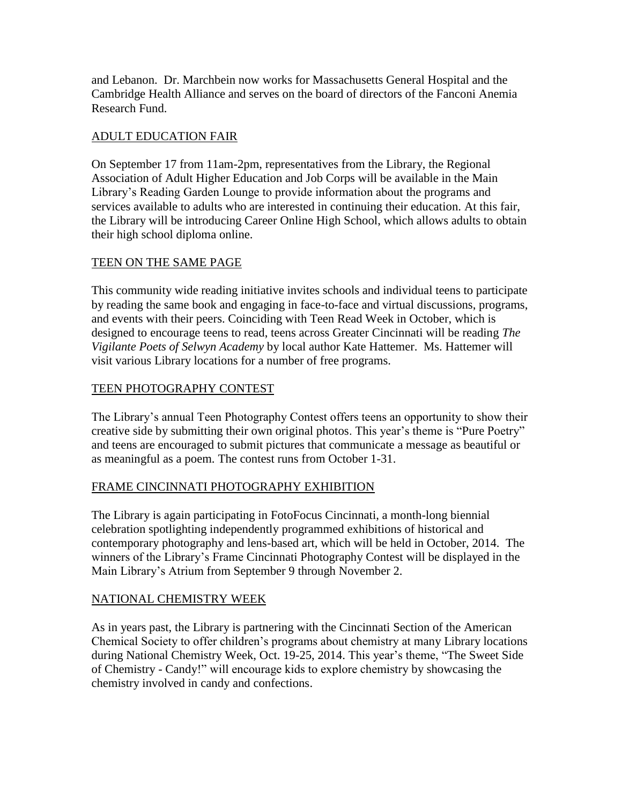and Lebanon. Dr. Marchbein now works for Massachusetts General Hospital and the Cambridge Health Alliance and serves on the board of directors of the Fanconi Anemia Research Fund.

# ADULT EDUCATION FAIR

On September 17 from 11am-2pm, representatives from the Library, the Regional Association of Adult Higher Education and Job Corps will be available in the Main Library's Reading Garden Lounge to provide information about the programs and services available to adults who are interested in continuing their education. At this fair, the Library will be introducing Career Online High School, which allows adults to obtain their high school diploma online.

# TEEN ON THE SAME PAGE

This community wide reading initiative invites schools and individual teens to participate by reading the same book and engaging in face-to-face and virtual discussions, programs, and events with their peers. Coinciding with Teen Read Week in October, which is designed to encourage teens to read, teens across Greater Cincinnati will be reading *The Vigilante Poets of Selwyn Academy* by local author Kate Hattemer. Ms. Hattemer will visit various Library locations for a number of free programs.

# TEEN PHOTOGRAPHY CONTEST

The Library's annual Teen Photography Contest offers teens an opportunity to show their creative side by submitting their own original photos. This year's theme is "Pure Poetry" and teens are encouraged to submit pictures that communicate a message as beautiful or as meaningful as a poem. The contest runs from October 1-31.

# FRAME CINCINNATI PHOTOGRAPHY EXHIBITION

The Library is again participating in FotoFocus Cincinnati, a month-long biennial celebration spotlighting independently programmed exhibitions of historical and contemporary photography and lens-based art, which will be held in October, 2014. The winners of the Library's Frame Cincinnati Photography Contest will be displayed in the Main Library's Atrium from September 9 through November 2.

# NATIONAL CHEMISTRY WEEK

As in years past, the Library is partnering with the Cincinnati Section of the American Chemical Society to offer children's programs about chemistry at many Library locations during National Chemistry Week, Oct. 19-25, 2014. This year's theme, "The Sweet Side of Chemistry - Candy!" will encourage kids to explore chemistry by showcasing the chemistry involved in candy and confections.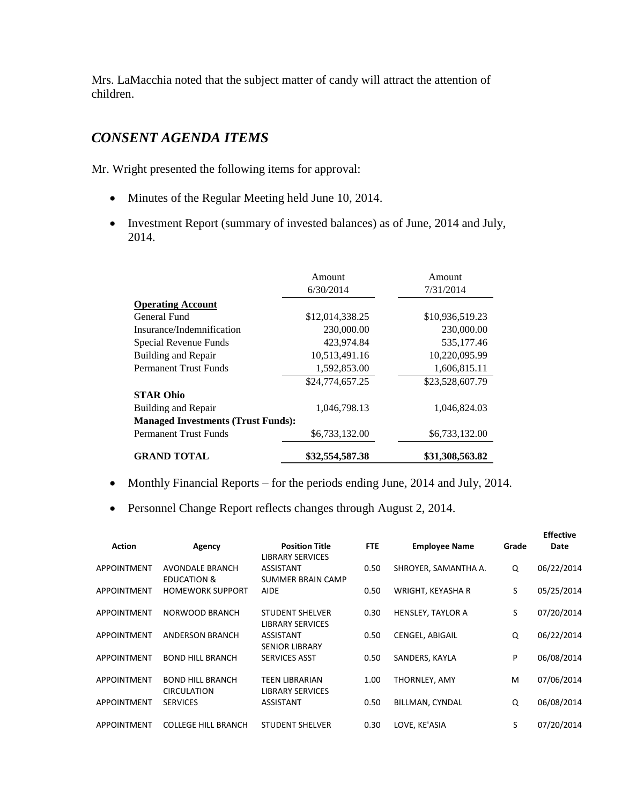Mrs. LaMacchia noted that the subject matter of candy will attract the attention of children.

# *CONSENT AGENDA ITEMS*

Mr. Wright presented the following items for approval:

- Minutes of the Regular Meeting held June 10, 2014.
- Investment Report (summary of invested balances) as of June, 2014 and July, 2014.

|                                           | Amount          | Amount          |
|-------------------------------------------|-----------------|-----------------|
|                                           | 6/30/2014       | 7/31/2014       |
| <b>Operating Account</b>                  |                 |                 |
| General Fund                              | \$12,014,338.25 | \$10,936,519.23 |
| Insurance/Indemnification                 | 230,000.00      | 230,000.00      |
| Special Revenue Funds                     | 423,974.84      | 535,177.46      |
| Building and Repair                       | 10,513,491.16   | 10,220,095.99   |
| <b>Permanent Trust Funds</b>              | 1,592,853.00    | 1,606,815.11    |
|                                           | \$24,774,657.25 | \$23,528,607.79 |
| <b>STAR Ohio</b>                          |                 |                 |
| Building and Repair                       | 1.046.798.13    | 1.046.824.03    |
| <b>Managed Investments (Trust Funds):</b> |                 |                 |
| <b>Permanent Trust Funds</b>              | \$6,733,132.00  | \$6,733,132.00  |
| <b>GRAND TOTAL</b>                        | \$32,554,587.38 | \$31,308,563.82 |

- Monthly Financial Reports for the periods ending June, 2014 and July, 2014.
- Personnel Change Report reflects changes through August 2, 2014.

| <b>Action</b>      | Agency                                           | <b>Position Title</b><br><b>LIBRARY SERVICES</b>  | <b>FTE</b> | <b>Employee Name</b>     | Grade | <b>LUCCUVE</b><br>Date |
|--------------------|--------------------------------------------------|---------------------------------------------------|------------|--------------------------|-------|------------------------|
| <b>APPOINTMENT</b> | <b>AVONDALE BRANCH</b><br><b>EDUCATION &amp;</b> | <b>ASSISTANT</b><br>SUMMER BRAIN CAMP             | 0.50       | SHROYER, SAMANTHA A.     | Q     | 06/22/2014             |
| APPOINTMENT        | <b>HOMEWORK SUPPORT</b>                          | <b>AIDE</b>                                       | 0.50       | WRIGHT, KEYASHA R        | S     | 05/25/2014             |
| <b>APPOINTMENT</b> | NORWOOD BRANCH                                   | <b>STUDENT SHELVER</b><br><b>LIBRARY SERVICES</b> | 0.30       | <b>HENSLEY, TAYLOR A</b> | S     | 07/20/2014             |
| <b>APPOINTMENT</b> | <b>ANDERSON BRANCH</b>                           | ASSISTANT<br><b>SENIOR LIBRARY</b>                | 0.50       | CENGEL, ABIGAIL          | Q     | 06/22/2014             |
| <b>APPOINTMENT</b> | <b>BOND HILL BRANCH</b>                          | <b>SERVICES ASST</b>                              | 0.50       | SANDERS, KAYLA           | P     | 06/08/2014             |
| <b>APPOINTMENT</b> | <b>BOND HILL BRANCH</b><br><b>CIRCULATION</b>    | <b>TEEN LIBRARIAN</b><br><b>LIBRARY SERVICES</b>  | 1.00       | THORNLEY, AMY            | м     | 07/06/2014             |
| APPOINTMENT        | <b>SERVICES</b>                                  | <b>ASSISTANT</b>                                  | 0.50       | BILLMAN, CYNDAL          | Q     | 06/08/2014             |
| <b>APPOINTMENT</b> | <b>COLLEGE HILL BRANCH</b>                       | <b>STUDENT SHELVER</b>                            | 0.30       | LOVE, KE'ASIA            | S     | 07/20/2014             |

**Effective**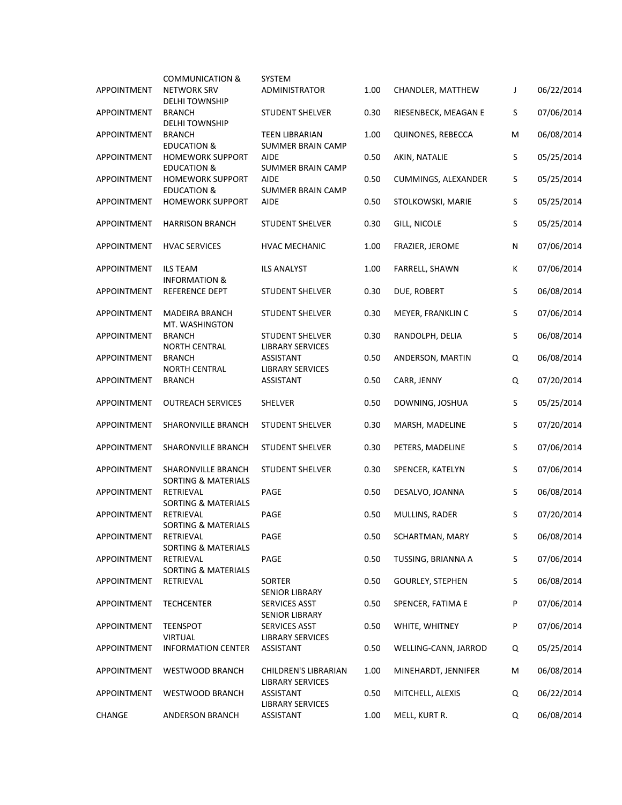|                    | <b>COMMUNICATION &amp;</b>                           | SYSTEM                                            |      |                         |   |            |
|--------------------|------------------------------------------------------|---------------------------------------------------|------|-------------------------|---|------------|
| <b>APPOINTMENT</b> | <b>NETWORK SRV</b><br><b>DELHI TOWNSHIP</b>          | <b>ADMINISTRATOR</b>                              | 1.00 | CHANDLER, MATTHEW       | J | 06/22/2014 |
| APPOINTMENT        | <b>BRANCH</b><br><b>DELHI TOWNSHIP</b>               | <b>STUDENT SHELVER</b>                            | 0.30 | RIESENBECK, MEAGAN E    | S | 07/06/2014 |
| APPOINTMENT        | <b>BRANCH</b><br><b>EDUCATION &amp;</b>              | <b>TEEN LIBRARIAN</b><br><b>SUMMER BRAIN CAMP</b> | 1.00 | QUINONES, REBECCA       | M | 06/08/2014 |
| APPOINTMENT        | <b>HOMEWORK SUPPORT</b><br><b>EDUCATION &amp;</b>    | <b>AIDE</b><br><b>SUMMER BRAIN CAMP</b>           | 0.50 | AKIN, NATALIE           | S | 05/25/2014 |
| APPOINTMENT        | <b>HOMEWORK SUPPORT</b>                              | <b>AIDE</b>                                       | 0.50 | CUMMINGS, ALEXANDER     | S | 05/25/2014 |
| <b>APPOINTMENT</b> | <b>EDUCATION &amp;</b><br><b>HOMEWORK SUPPORT</b>    | <b>SUMMER BRAIN CAMP</b><br><b>AIDE</b>           | 0.50 | STOLKOWSKI, MARIE       | S | 05/25/2014 |
| <b>APPOINTMENT</b> | <b>HARRISON BRANCH</b>                               | <b>STUDENT SHELVER</b>                            | 0.30 | GILL, NICOLE            | S | 05/25/2014 |
| APPOINTMENT        | <b>HVAC SERVICES</b>                                 | <b>HVAC MECHANIC</b>                              | 1.00 | FRAZIER, JEROME         | N | 07/06/2014 |
| APPOINTMENT        | <b>ILS TEAM</b><br><b>INFORMATION &amp;</b>          | <b>ILS ANALYST</b>                                | 1.00 | FARRELL, SHAWN          | К | 07/06/2014 |
| APPOINTMENT        | REFERENCE DEPT                                       | <b>STUDENT SHELVER</b>                            | 0.30 | DUE, ROBERT             | S | 06/08/2014 |
| APPOINTMENT        | <b>MADEIRA BRANCH</b><br>MT. WASHINGTON              | <b>STUDENT SHELVER</b>                            | 0.30 | MEYER, FRANKLIN C       | S | 07/06/2014 |
| APPOINTMENT        | <b>BRANCH</b><br><b>NORTH CENTRAL</b>                | STUDENT SHELVER<br><b>LIBRARY SERVICES</b>        | 0.30 | RANDOLPH, DELIA         | S | 06/08/2014 |
| APPOINTMENT        | <b>BRANCH</b><br><b>NORTH CENTRAL</b>                | ASSISTANT<br><b>LIBRARY SERVICES</b>              | 0.50 | ANDERSON, MARTIN        | Q | 06/08/2014 |
| APPOINTMENT        | <b>BRANCH</b>                                        | ASSISTANT                                         | 0.50 | CARR, JENNY             | Q | 07/20/2014 |
| APPOINTMENT        | <b>OUTREACH SERVICES</b>                             | SHELVER                                           | 0.50 | DOWNING, JOSHUA         | S | 05/25/2014 |
| APPOINTMENT        | SHARONVILLE BRANCH                                   | <b>STUDENT SHELVER</b>                            | 0.30 | MARSH, MADELINE         | S | 07/20/2014 |
| APPOINTMENT        | SHARONVILLE BRANCH                                   | <b>STUDENT SHELVER</b>                            | 0.30 | PETERS, MADELINE        | S | 07/06/2014 |
| APPOINTMENT        | SHARONVILLE BRANCH<br><b>SORTING &amp; MATERIALS</b> | STUDENT SHELVER                                   | 0.30 | SPENCER, KATELYN        | S | 07/06/2014 |
| APPOINTMENT        | RETRIEVAL<br><b>SORTING &amp; MATERIALS</b>          | PAGE                                              | 0.50 | DESALVO, JOANNA         | S | 06/08/2014 |
| APPOINTMENT        | RETRIEVAL<br>SORTING & MATERIALS                     | PAGE                                              | 0.50 | MULLINS, RADER          | S | 07/20/2014 |
| APPOINTMENT        | RETRIEVAL<br><b>SORTING &amp; MATERIALS</b>          | PAGE                                              | 0.50 | SCHARTMAN, MARY         | S | 06/08/2014 |
| APPOINTMENT        | RETRIEVAL<br><b>SORTING &amp; MATERIALS</b>          | PAGE                                              | 0.50 | TUSSING, BRIANNA A      | S | 07/06/2014 |
| APPOINTMENT        | RETRIEVAL                                            | SORTER<br><b>SENIOR LIBRARY</b>                   | 0.50 | <b>GOURLEY, STEPHEN</b> | S | 06/08/2014 |
| APPOINTMENT        | <b>TECHCENTER</b>                                    | SERVICES ASST<br><b>SENIOR LIBRARY</b>            | 0.50 | SPENCER, FATIMA E       | P | 07/06/2014 |
| APPOINTMENT        | <b>TEENSPOT</b><br><b>VIRTUAL</b>                    | SERVICES ASST<br><b>LIBRARY SERVICES</b>          | 0.50 | WHITE, WHITNEY          | P | 07/06/2014 |
| APPOINTMENT        | <b>INFORMATION CENTER</b>                            | ASSISTANT                                         | 0.50 | WELLING-CANN, JARROD    | Q | 05/25/2014 |
| APPOINTMENT        | WESTWOOD BRANCH                                      | CHILDREN'S LIBRARIAN<br><b>LIBRARY SERVICES</b>   | 1.00 | MINEHARDT, JENNIFER     | M | 06/08/2014 |
| APPOINTMENT        | WESTWOOD BRANCH                                      | ASSISTANT<br><b>LIBRARY SERVICES</b>              | 0.50 | MITCHELL, ALEXIS        | Q | 06/22/2014 |
| CHANGE             | ANDERSON BRANCH                                      | ASSISTANT                                         | 1.00 | MELL, KURT R.           | Q | 06/08/2014 |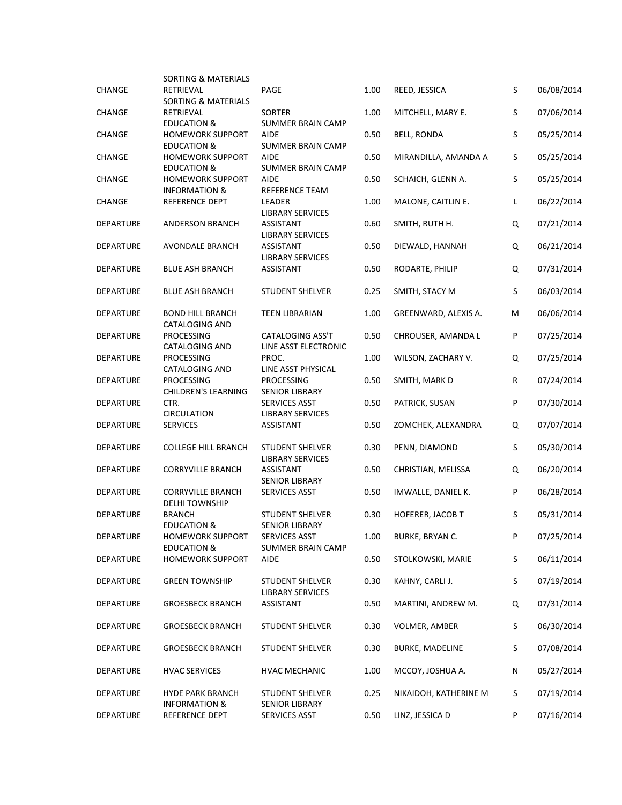| CHANGE           | SORTING & MATERIALS<br>RETRIEVAL<br><b>SORTING &amp; MATERIALS</b> | PAGE                                              | 1.00 | REED, JESSICA           | S | 06/08/2014 |
|------------------|--------------------------------------------------------------------|---------------------------------------------------|------|-------------------------|---|------------|
| <b>CHANGE</b>    | RETRIEVAL<br><b>EDUCATION &amp;</b>                                | SORTER<br><b>SUMMER BRAIN CAMP</b>                | 1.00 | MITCHELL, MARY E.       | S | 07/06/2014 |
| CHANGE           | <b>HOMEWORK SUPPORT</b><br><b>EDUCATION &amp;</b>                  | <b>AIDE</b><br><b>SUMMER BRAIN CAMP</b>           | 0.50 | <b>BELL, RONDA</b>      | S | 05/25/2014 |
| CHANGE           | <b>HOMEWORK SUPPORT</b>                                            | <b>AIDE</b>                                       | 0.50 | MIRANDILLA, AMANDA A    | S | 05/25/2014 |
| <b>CHANGE</b>    | <b>EDUCATION &amp;</b><br><b>HOMEWORK SUPPORT</b>                  | <b>SUMMER BRAIN CAMP</b><br><b>AIDE</b>           | 0.50 | SCHAICH, GLENN A.       | S | 05/25/2014 |
| CHANGE           | <b>INFORMATION &amp;</b><br>REFERENCE DEPT                         | <b>REFERENCE TEAM</b><br>LEADER                   | 1.00 | MALONE, CAITLIN E.      | L | 06/22/2014 |
| DEPARTURE        | ANDERSON BRANCH                                                    | <b>LIBRARY SERVICES</b><br>ASSISTANT              | 0.60 | SMITH, RUTH H.          | Q | 07/21/2014 |
| <b>DEPARTURE</b> | AVONDALE BRANCH                                                    | <b>LIBRARY SERVICES</b><br>ASSISTANT              | 0.50 | DIEWALD, HANNAH         | Q | 06/21/2014 |
| <b>DEPARTURE</b> | <b>BLUE ASH BRANCH</b>                                             | <b>LIBRARY SERVICES</b><br>ASSISTANT              | 0.50 | RODARTE, PHILIP         | Q | 07/31/2014 |
| <b>DEPARTURE</b> | <b>BLUE ASH BRANCH</b>                                             | <b>STUDENT SHELVER</b>                            | 0.25 | SMITH, STACY M          | S | 06/03/2014 |
| <b>DEPARTURE</b> | <b>BOND HILL BRANCH</b><br><b>CATALOGING AND</b>                   | <b>TEEN LIBRARIAN</b>                             | 1.00 | GREENWARD, ALEXIS A.    | м | 06/06/2014 |
| <b>DEPARTURE</b> | <b>PROCESSING</b><br><b>CATALOGING AND</b>                         | CATALOGING ASS'T<br>LINE ASST ELECTRONIC          | 0.50 | CHROUSER, AMANDA L      | P | 07/25/2014 |
| <b>DEPARTURE</b> | PROCESSING<br><b>CATALOGING AND</b>                                | PROC.<br>LINE ASST PHYSICAL                       | 1.00 | WILSON, ZACHARY V.      | Q | 07/25/2014 |
| <b>DEPARTURE</b> | <b>PROCESSING</b><br><b>CHILDREN'S LEARNING</b>                    | <b>PROCESSING</b><br><b>SENIOR LIBRARY</b>        | 0.50 | SMITH, MARK D           | R | 07/24/2014 |
| DEPARTURE        | CTR.<br><b>CIRCULATION</b>                                         | SERVICES ASST<br><b>LIBRARY SERVICES</b>          | 0.50 | PATRICK, SUSAN          | P | 07/30/2014 |
| DEPARTURE        | <b>SERVICES</b>                                                    | <b>ASSISTANT</b>                                  | 0.50 | ZOMCHEK, ALEXANDRA      | Q | 07/07/2014 |
| <b>DEPARTURE</b> | <b>COLLEGE HILL BRANCH</b>                                         | <b>STUDENT SHELVER</b><br><b>LIBRARY SERVICES</b> | 0.30 | PENN, DIAMOND           | S | 05/30/2014 |
| <b>DEPARTURE</b> | <b>CORRYVILLE BRANCH</b>                                           | <b>ASSISTANT</b><br><b>SENIOR LIBRARY</b>         | 0.50 | CHRISTIAN, MELISSA      | Q | 06/20/2014 |
| DEPARTURE        | <b>CORRYVILLE BRANCH</b><br><b>DELHI TOWNSHIP</b>                  | SERVICES ASST                                     | 0.50 | IMWALLE, DANIEL K.      | P | 06/28/2014 |
| <b>DEPARTURE</b> | <b>BRANCH</b><br><b>EDUCATION &amp;</b>                            | <b>STUDENT SHELVER</b><br><b>SENIOR LIBRARY</b>   | 0.30 | <b>HOFERER, JACOB T</b> | S | 05/31/2014 |
| DEPARTURE        | <b>HOMEWORK SUPPORT</b><br><b>EDUCATION &amp;</b>                  | SERVICES ASST<br><b>SUMMER BRAIN CAMP</b>         | 1.00 | BURKE, BRYAN C.         | P | 07/25/2014 |
| <b>DEPARTURE</b> | <b>HOMEWORK SUPPORT</b>                                            | <b>AIDE</b>                                       | 0.50 | STOLKOWSKI, MARIE       | S | 06/11/2014 |
| DEPARTURE        | <b>GREEN TOWNSHIP</b>                                              | <b>STUDENT SHELVER</b><br><b>LIBRARY SERVICES</b> | 0.30 | KAHNY, CARLI J.         | S | 07/19/2014 |
| <b>DEPARTURE</b> | <b>GROESBECK BRANCH</b>                                            | ASSISTANT                                         | 0.50 | MARTINI, ANDREW M.      | Q | 07/31/2014 |
| <b>DEPARTURE</b> | <b>GROESBECK BRANCH</b>                                            | <b>STUDENT SHELVER</b>                            | 0.30 | <b>VOLMER, AMBER</b>    | S | 06/30/2014 |
| DEPARTURE        | <b>GROESBECK BRANCH</b>                                            | <b>STUDENT SHELVER</b>                            | 0.30 | <b>BURKE, MADELINE</b>  | S | 07/08/2014 |
| DEPARTURE        | <b>HVAC SERVICES</b>                                               | <b>HVAC MECHANIC</b>                              | 1.00 | MCCOY, JOSHUA A.        | N | 05/27/2014 |
| DEPARTURE        | <b>HYDE PARK BRANCH</b><br><b>INFORMATION &amp;</b>                | STUDENT SHELVER<br><b>SENIOR LIBRARY</b>          | 0.25 | NIKAIDOH, KATHERINE M   | S | 07/19/2014 |
| <b>DEPARTURE</b> | REFERENCE DEPT                                                     | SERVICES ASST                                     | 0.50 | LINZ, JESSICA D         | P | 07/16/2014 |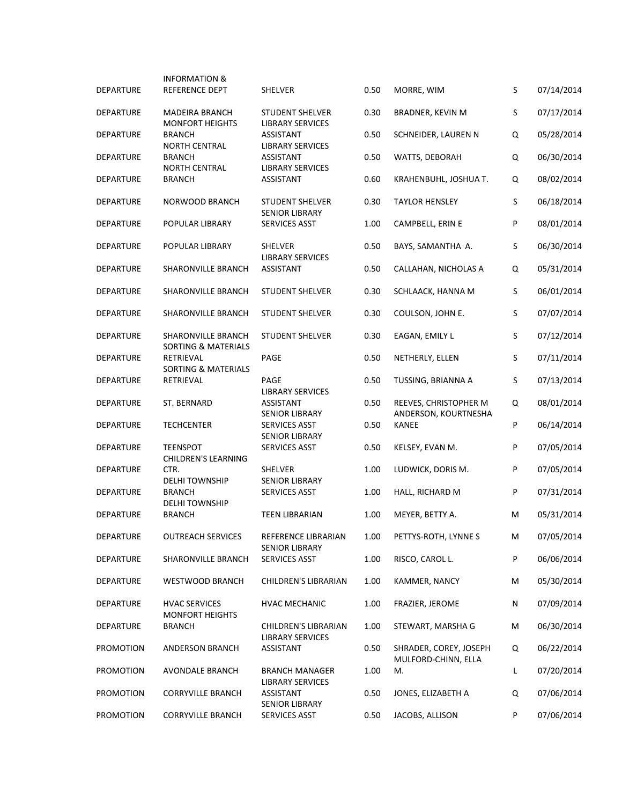|                  | <b>INFORMATION &amp;</b>                        |                                                   |      |                                               |    |            |
|------------------|-------------------------------------------------|---------------------------------------------------|------|-----------------------------------------------|----|------------|
| DEPARTURE        | REFERENCE DEPT                                  | SHELVER                                           | 0.50 | MORRE, WIM                                    | S  | 07/14/2014 |
| <b>DEPARTURE</b> | <b>MADEIRA BRANCH</b><br><b>MONFORT HEIGHTS</b> | <b>STUDENT SHELVER</b><br><b>LIBRARY SERVICES</b> | 0.30 | <b>BRADNER, KEVIN M</b>                       | S  | 07/17/2014 |
| <b>DEPARTURE</b> | <b>BRANCH</b><br><b>NORTH CENTRAL</b>           | <b>ASSISTANT</b><br><b>LIBRARY SERVICES</b>       | 0.50 | SCHNEIDER, LAUREN N                           | Q  | 05/28/2014 |
| <b>DEPARTURE</b> | <b>BRANCH</b><br><b>NORTH CENTRAL</b>           | ASSISTANT<br><b>LIBRARY SERVICES</b>              | 0.50 | WATTS, DEBORAH                                | Q  | 06/30/2014 |
| <b>DEPARTURE</b> | <b>BRANCH</b>                                   | <b>ASSISTANT</b>                                  | 0.60 | KRAHENBUHL, JOSHUA T.                         | Q  | 08/02/2014 |
| <b>DEPARTURE</b> | <b>NORWOOD BRANCH</b>                           | <b>STUDENT SHELVER</b><br><b>SENIOR LIBRARY</b>   | 0.30 | <b>TAYLOR HENSLEY</b>                         | S  | 06/18/2014 |
| <b>DEPARTURE</b> | POPULAR LIBRARY                                 | SERVICES ASST                                     | 1.00 | CAMPBELL, ERIN E                              | P  | 08/01/2014 |
| <b>DEPARTURE</b> | POPULAR LIBRARY                                 | <b>SHELVER</b><br><b>LIBRARY SERVICES</b>         | 0.50 | BAYS, SAMANTHA A.                             | S  | 06/30/2014 |
| <b>DEPARTURE</b> | <b>SHARONVILLE BRANCH</b>                       | ASSISTANT                                         | 0.50 | CALLAHAN, NICHOLAS A                          | Q  | 05/31/2014 |
| <b>DEPARTURE</b> | SHARONVILLE BRANCH                              | <b>STUDENT SHELVER</b>                            | 0.30 | SCHLAACK, HANNA M                             | S  | 06/01/2014 |
| <b>DEPARTURE</b> | SHARONVILLE BRANCH                              | <b>STUDENT SHELVER</b>                            | 0.30 | COULSON, JOHN E.                              | S  | 07/07/2014 |
| <b>DEPARTURE</b> | SHARONVILLE BRANCH<br>SORTING & MATERIALS       | <b>STUDENT SHELVER</b>                            | 0.30 | EAGAN, EMILY L                                | S  | 07/12/2014 |
| <b>DEPARTURE</b> | RETRIEVAL<br><b>SORTING &amp; MATERIALS</b>     | PAGE                                              | 0.50 | NETHERLY, ELLEN                               | S  | 07/11/2014 |
| <b>DEPARTURE</b> | RETRIEVAL                                       | <b>PAGE</b><br><b>LIBRARY SERVICES</b>            | 0.50 | TUSSING, BRIANNA A                            | S  | 07/13/2014 |
| <b>DEPARTURE</b> | ST. BERNARD                                     | ASSISTANT<br><b>SENIOR LIBRARY</b>                | 0.50 | REEVES, CHRISTOPHER M<br>ANDERSON, KOURTNESHA | Q  | 08/01/2014 |
| <b>DEPARTURE</b> | <b>TECHCENTER</b>                               | <b>SERVICES ASST</b><br><b>SENIOR LIBRARY</b>     | 0.50 | <b>KANEE</b>                                  | P  | 06/14/2014 |
| <b>DEPARTURE</b> | <b>TEENSPOT</b><br>CHILDREN'S LEARNING          | <b>SERVICES ASST</b>                              | 0.50 | KELSEY, EVAN M.                               | P  | 07/05/2014 |
| <b>DEPARTURE</b> | CTR.<br><b>DELHI TOWNSHIP</b>                   | <b>SHELVER</b><br><b>SENIOR LIBRARY</b>           | 1.00 | LUDWICK, DORIS M.                             | P  | 07/05/2014 |
| <b>DEPARTURE</b> | <b>BRANCH</b><br><b>DELHI TOWNSHIP</b>          | SERVICES ASST                                     | 1.00 | HALL, RICHARD M                               | P  | 07/31/2014 |
| <b>DEPARTURE</b> | <b>BRANCH</b>                                   | <b>TEEN LIBRARIAN</b>                             | 1.00 | MEYER, BETTY A.                               | м  | 05/31/2014 |
| <b>DEPARTURE</b> | <b>OUTREACH SERVICES</b>                        | REFERENCE LIBRARIAN<br><b>SENIOR LIBRARY</b>      | 1.00 | PETTYS-ROTH, LYNNE S                          | M  | 07/05/2014 |
| <b>DEPARTURE</b> | SHARONVILLE BRANCH                              | SERVICES ASST                                     | 1.00 | RISCO, CAROL L.                               | P  | 06/06/2014 |
| <b>DEPARTURE</b> | WESTWOOD BRANCH                                 | <b>CHILDREN'S LIBRARIAN</b>                       | 1.00 | KAMMER, NANCY                                 | M  | 05/30/2014 |
| <b>DEPARTURE</b> | <b>HVAC SERVICES</b><br><b>MONFORT HEIGHTS</b>  | HVAC MECHANIC                                     | 1.00 | FRAZIER, JEROME                               | N  | 07/09/2014 |
| <b>DEPARTURE</b> | <b>BRANCH</b>                                   | CHILDREN'S LIBRARIAN<br><b>LIBRARY SERVICES</b>   | 1.00 | STEWART, MARSHA G                             | M  | 06/30/2014 |
| <b>PROMOTION</b> | ANDERSON BRANCH                                 | ASSISTANT                                         | 0.50 | SHRADER, COREY, JOSEPH<br>MULFORD-CHINN, ELLA | Q  | 06/22/2014 |
| <b>PROMOTION</b> | AVONDALE BRANCH                                 | <b>BRANCH MANAGER</b><br><b>LIBRARY SERVICES</b>  | 1.00 | M.                                            | L. | 07/20/2014 |
| PROMOTION        | <b>CORRYVILLE BRANCH</b>                        | ASSISTANT<br><b>SENIOR LIBRARY</b>                | 0.50 | JONES, ELIZABETH A                            | Q  | 07/06/2014 |
| PROMOTION        | <b>CORRYVILLE BRANCH</b>                        | SERVICES ASST                                     | 0.50 | JACOBS, ALLISON                               | P  | 07/06/2014 |